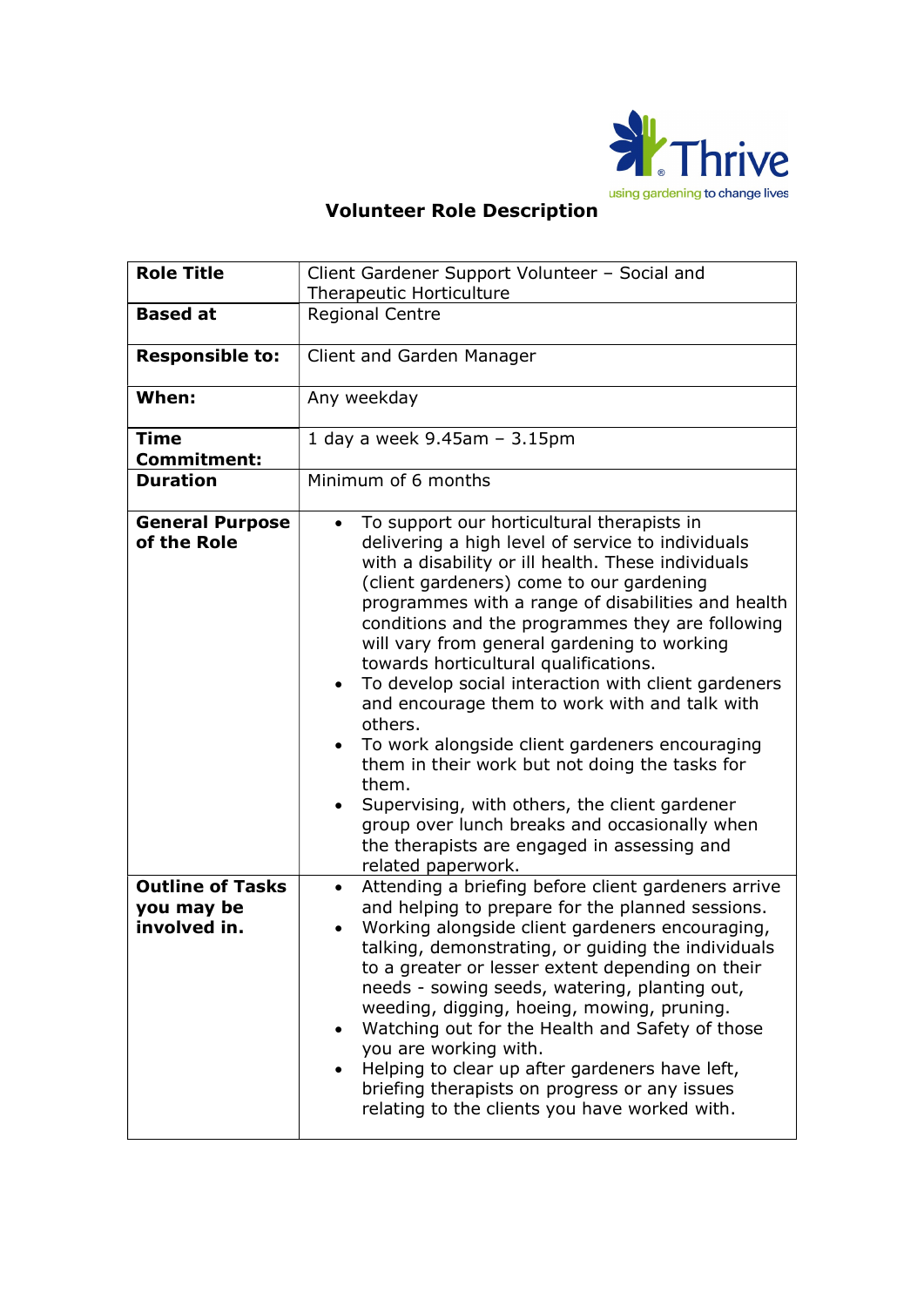

## using gardening to change lives<br>
Volunteer Role Description